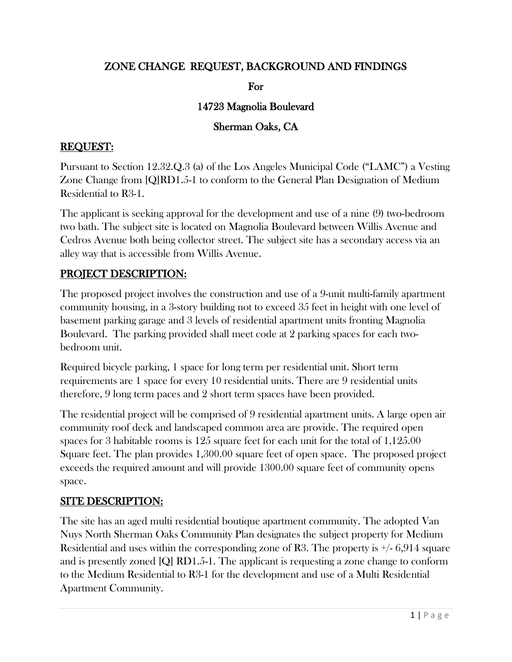## ZONE CHANGE REQUEST, BACKGROUND AND FINDINGS

For

#### 14723 Magnolia Boulevard

### Sherman Oaks, CA

## REQUEST:

Pursuant to Section 12.32.Q.3 (a) of the Los Angeles Municipal Code ("LAMC") a Vesting Zone Change from [Q]RD1.5-1 to conform to the General Plan Designation of Medium Residential to R3-1.

The applicant is seeking approval for the development and use of a nine (9) two-bedroom two bath. The subject site is located on Magnolia Boulevard between Willis Avenue and Cedros Avenue both being collector street. The subject site has a secondary access via an alley way that is accessible from Willis Avenue.

## PROJECT DESCRIPTION:

The proposed project involves the construction and use of a 9-unit multi-family apartment community housing, in a 3-story building not to exceed 35 feet in height with one level of basement parking garage and 3 levels of residential apartment units fronting Magnolia Boulevard. The parking provided shall meet code at 2 parking spaces for each twobedroom unit.

Required bicycle parking, 1 space for long term per residential unit. Short term requirements are 1 space for every 10 residential units. There are 9 residential units therefore, 9 long term paces and 2 short term spaces have been provided.

The residential project will be comprised of 9 residential apartment units. A large open air community roof deck and landscaped common area are provide. The required open spaces for 3 habitable rooms is 125 square feet for each unit for the total of 1,125.00 Square feet. The plan provides 1,300.00 square feet of open space. The proposed project exceeds the required amount and will provide 1300.00 square feet of community opens space.

# SITE DESCRIPTION:

The site has an aged multi residential boutique apartment community. The adopted Van Nuys North Sherman Oaks Community Plan designates the subject property for Medium Residential and uses within the corresponding zone of R3. The property is  $\pm$  6,914 square and is presently zoned [Q] RD1.5-1. The applicant is requesting a zone change to conform to the Medium Residential to R3-1 for the development and use of a Multi Residential Apartment Community.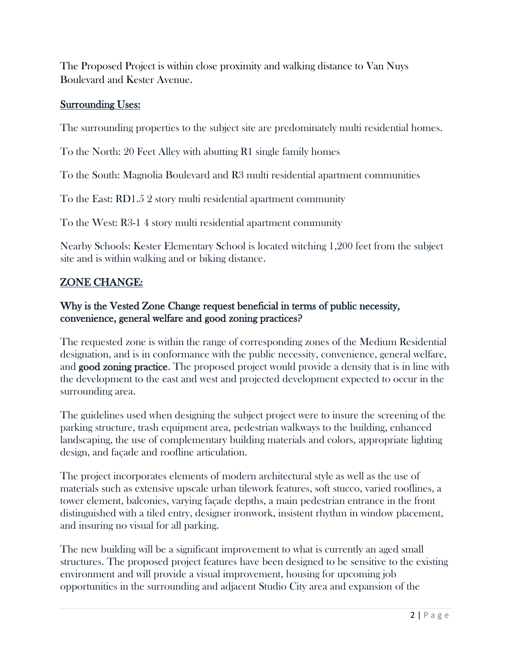The Proposed Project is within close proximity and walking distance to Van Nuys Boulevard and Kester Avenue.

#### Surrounding Uses:

The surrounding properties to the subject site are predominately multi residential homes.

To the North: 20 Feet Alley with abutting R1 single family homes

To the South: Magnolia Boulevard and R3 multi residential apartment communities

To the East: RD1.5 2 story multi residential apartment community

To the West: R3-1 4 story multi residential apartment community

Nearby Schools: Kester Elementary School is located witching 1,200 feet from the subject site and is within walking and or biking distance.

## ZONE CHANGE:

#### Why is the Vested Zone Change request beneficial in terms of public necessity, convenience, general welfare and good zoning practices?

The requested zone is within the range of corresponding zones of the Medium Residential designation, and is in conformance with the public necessity, convenience, general welfare, and **good zoning practice**. The proposed project would provide a density that is in line with the development to the east and west and projected development expected to occur in the surrounding area.

The guidelines used when designing the subject project were to insure the screening of the parking structure, trash equipment area, pedestrian walkways to the building, enhanced landscaping, the use of complementary building materials and colors, appropriate lighting design, and façade and roofline articulation.

The project incorporates elements of modern architectural style as well as the use of materials such as extensive upscale urban tilework features, soft stucco, varied rooflines, a tower element, balconies, varying façade depths, a main pedestrian entrance in the front distinguished with a tiled entry, designer ironwork, insistent rhythm in window placement, and insuring no visual for all parking.

The new building will be a significant improvement to what is currently an aged small structures. The proposed project features have been designed to be sensitive to the existing environment and will provide a visual improvement, housing for upcoming job opportunities in the surrounding and adjacent Studio City area and expansion of the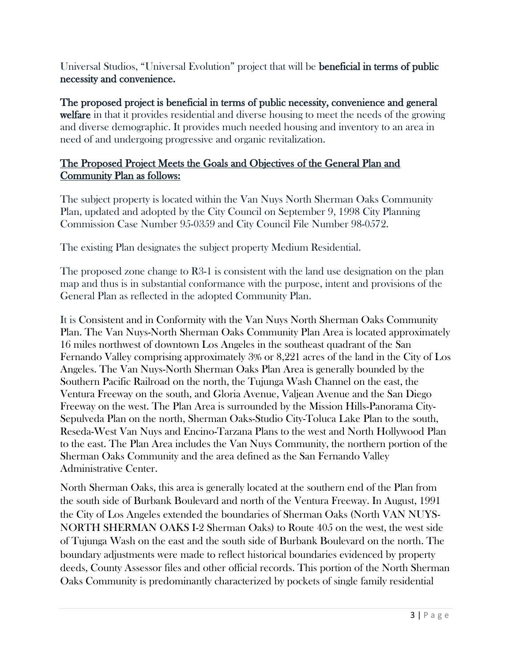Universal Studios, "Universal Evolution" project that will be beneficial in terms of public necessity and convenience.

The proposed project is beneficial in terms of public necessity, convenience and general welfare in that it provides residential and diverse housing to meet the needs of the growing and diverse demographic. It provides much needed housing and inventory to an area in need of and undergoing progressive and organic revitalization.

#### The Proposed Project Meets the Goals and Objectives of the General Plan and Community Plan as follows:

The subject property is located within the Van Nuys North Sherman Oaks Community Plan, updated and adopted by the City Council on September 9, 1998 City Planning Commission Case Number 95-0359 and City Council File Number 98-0572.

The existing Plan designates the subject property Medium Residential.

The proposed zone change to R3-1 is consistent with the land use designation on the plan map and thus is in substantial conformance with the purpose, intent and provisions of the General Plan as reflected in the adopted Community Plan.

It is Consistent and in Conformity with the Van Nuys North Sherman Oaks Community Plan. The Van Nuys-North Sherman Oaks Community Plan Area is located approximately 16 miles northwest of downtown Los Angeles in the southeast quadrant of the San Fernando Valley comprising approximately 3% or 8,221 acres of the land in the City of Los Angeles. The Van Nuys-North Sherman Oaks Plan Area is generally bounded by the Southern Pacific Railroad on the north, the Tujunga Wash Channel on the east, the Ventura Freeway on the south, and Gloria Avenue, Valjean Avenue and the San Diego Freeway on the west. The Plan Area is surrounded by the Mission Hills-Panorama City-Sepulveda Plan on the north, Sherman Oaks-Studio City-Toluca Lake Plan to the south, Reseda-West Van Nuys and Encino-Tarzana Plans to the west and North Hollywood Plan to the east. The Plan Area includes the Van Nuys Community, the northern portion of the Sherman Oaks Community and the area defined as the San Fernando Valley Administrative Center.

North Sherman Oaks, this area is generally located at the southern end of the Plan from the south side of Burbank Boulevard and north of the Ventura Freeway. In August, 1991 the City of Los Angeles extended the boundaries of Sherman Oaks (North VAN NUYS-NORTH SHERMAN OAKS I-2 Sherman Oaks) to Route 405 on the west, the west side of Tujunga Wash on the east and the south side of Burbank Boulevard on the north. The boundary adjustments were made to reflect historical boundaries evidenced by property deeds, County Assessor files and other official records. This portion of the North Sherman Oaks Community is predominantly characterized by pockets of single family residential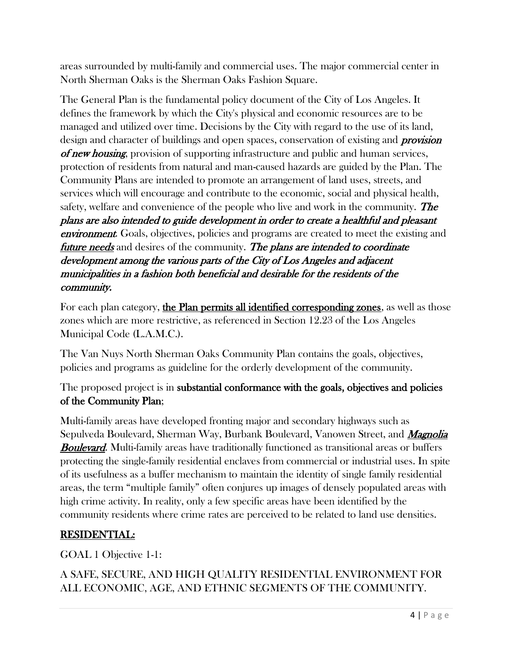areas surrounded by multi-family and commercial uses. The major commercial center in North Sherman Oaks is the Sherman Oaks Fashion Square.

The General Plan is the fundamental policy document of the City of Los Angeles. It defines the framework by which the City's physical and economic resources are to be managed and utilized over time. Decisions by the City with regard to the use of its land, design and character of buildings and open spaces, conservation of existing and **provision** of new housing, provision of supporting infrastructure and public and human services, protection of residents from natural and man-caused hazards are guided by the Plan. The Community Plans are intended to promote an arrangement of land uses, streets, and services which will encourage and contribute to the economic, social and physical health, safety, welfare and convenience of the people who live and work in the community. **The** plans are also intended to guide development in order to create a healthful and pleasant **environment.** Goals, objectives, policies and programs are created to meet the existing and future needs and desires of the community. The plans are intended to coordinate development among the various parts of the City of Los Angeles and adjacent municipalities in a fashion both beneficial and desirable for the residents of the community.

For each plan category, the Plan permits all identified corresponding zones, as well as those zones which are more restrictive, as referenced in Section 12.23 of the Los Angeles Municipal Code (L.A.M.C.).

The Van Nuys North Sherman Oaks Community Plan contains the goals, objectives, policies and programs as guideline for the orderly development of the community.

## The proposed project is in substantial conformance with the goals, objectives and policies of the Community Plan;

Multi-family areas have developed fronting major and secondary highways such as Sepulveda Boulevard, Sherman Way, Burbank Boulevard, Vanowen Street, and *Magnolia* **Boulevard.** Multi-family areas have traditionally functioned as transitional areas or buffers protecting the single-family residential enclaves from commercial or industrial uses. In spite of its usefulness as a buffer mechanism to maintain the identity of single family residential areas, the term "multiple family" often conjures up images of densely populated areas with high crime activity. In reality, only a few specific areas have been identified by the community residents where crime rates are perceived to be related to land use densities.

# RESIDENTIAL:

GOAL 1 Objective 1-1:

A SAFE, SECURE, AND HIGH QUALITY RESIDENTIAL ENVIRONMENT FOR ALL ECONOMIC, AGE, AND ETHNIC SEGMENTS OF THE COMMUNITY.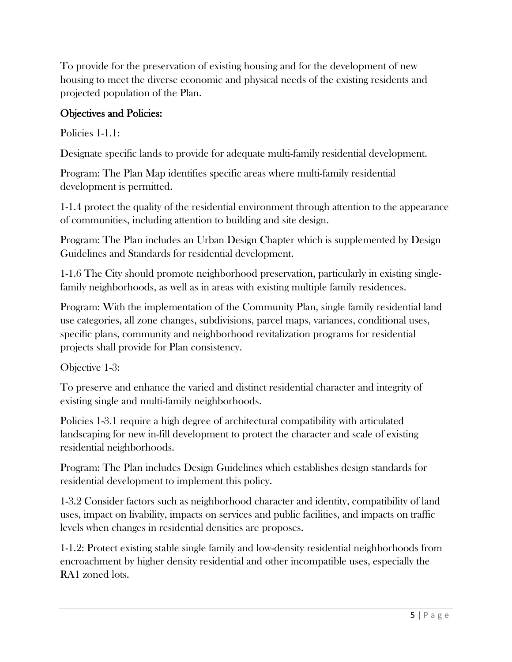To provide for the preservation of existing housing and for the development of new housing to meet the diverse economic and physical needs of the existing residents and projected population of the Plan.

# Objectives and Policies:

Policies 1-1.1:

Designate specific lands to provide for adequate multi-family residential development.

Program: The Plan Map identifies specific areas where multi-family residential development is permitted.

1-1.4 protect the quality of the residential environment through attention to the appearance of communities, including attention to building and site design.

Program: The Plan includes an Urban Design Chapter which is supplemented by Design Guidelines and Standards for residential development.

1-1.6 The City should promote neighborhood preservation, particularly in existing singlefamily neighborhoods, as well as in areas with existing multiple family residences.

Program: With the implementation of the Community Plan, single family residential land use categories, all zone changes, subdivisions, parcel maps, variances, conditional uses, specific plans, community and neighborhood revitalization programs for residential projects shall provide for Plan consistency.

Objective 1-3:

To preserve and enhance the varied and distinct residential character and integrity of existing single and multi-family neighborhoods.

Policies 1-3.1 require a high degree of architectural compatibility with articulated landscaping for new in-fill development to protect the character and scale of existing residential neighborhoods.

Program: The Plan includes Design Guidelines which establishes design standards for residential development to implement this policy.

1-3.2 Consider factors such as neighborhood character and identity, compatibility of land uses, impact on livability, impacts on services and public facilities, and impacts on traffic levels when changes in residential densities are proposes.

1-1.2: Protect existing stable single family and low-density residential neighborhoods from encroachment by higher density residential and other incompatible uses, especially the RA1 zoned lots.